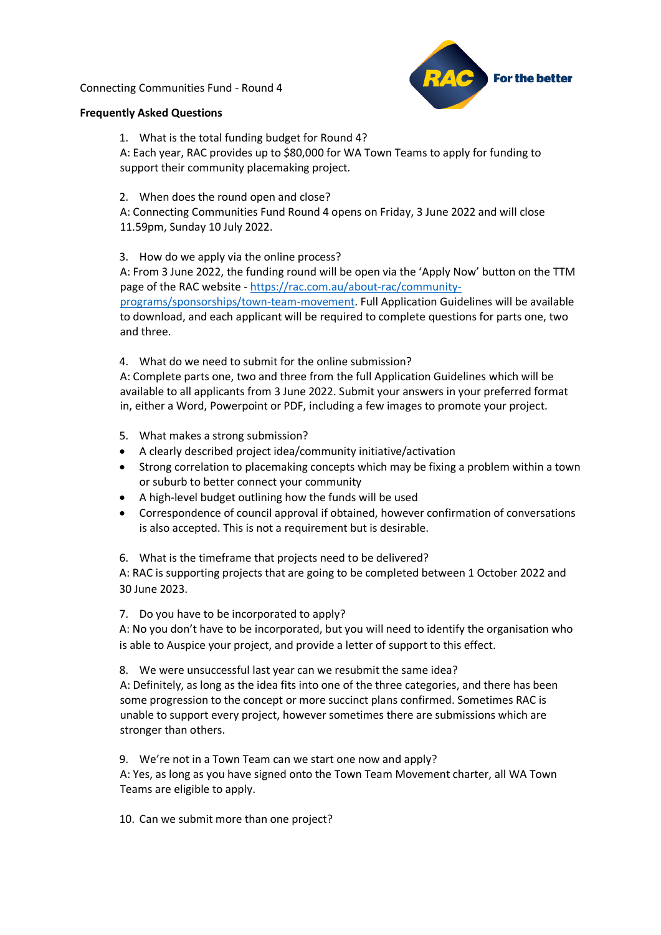Connecting Communities Fund - Round 4



## **Frequently Asked Questions**

1. What is the total funding budget for Round 4?

A: Each year, RAC provides up to \$80,000 for WA Town Teams to apply for funding to support their community placemaking project.

2. When does the round open and close?

A: Connecting Communities Fund Round 4 opens on Friday, 3 June 2022 and will close 11.59pm, Sunday 10 July 2022.

3. How do we apply via the online process?

A: From 3 June 2022, the funding round will be open via the 'Apply Now' button on the TTM page of the RAC website - [https://rac.com.au/about-rac/community](https://rac.com.au/about-rac/community-programs/sponsorships/town-team-movement)[programs/sponsorships/town-team-movement.](https://rac.com.au/about-rac/community-programs/sponsorships/town-team-movement) Full Application Guidelines will be available to download, and each applicant will be required to complete questions for parts one, two and three.

4. What do we need to submit for the online submission?

A: Complete parts one, two and three from the full Application Guidelines which will be available to all applicants from 3 June 2022. Submit your answers in your preferred format in, either a Word, Powerpoint or PDF, including a few images to promote your project.

- 5. What makes a strong submission?
- A clearly described project idea/community initiative/activation
- Strong correlation to placemaking concepts which may be fixing a problem within a town or suburb to better connect your community
- A high-level budget outlining how the funds will be used
- Correspondence of council approval if obtained, however confirmation of conversations is also accepted. This is not a requirement but is desirable.

6. What is the timeframe that projects need to be delivered?

A: RAC is supporting projects that are going to be completed between 1 October 2022 and 30 June 2023.

7. Do you have to be incorporated to apply?

A: No you don't have to be incorporated, but you will need to identify the organisation who is able to Auspice your project, and provide a letter of support to this effect.

8. We were unsuccessful last year can we resubmit the same idea?

A: Definitely, as long as the idea fits into one of the three categories, and there has been some progression to the concept or more succinct plans confirmed. Sometimes RAC is unable to support every project, however sometimes there are submissions which are stronger than others.

9. We're not in a Town Team can we start one now and apply?

A: Yes, as long as you have signed onto the Town Team Movement charter, all WA Town Teams are eligible to apply.

10. Can we submit more than one project?